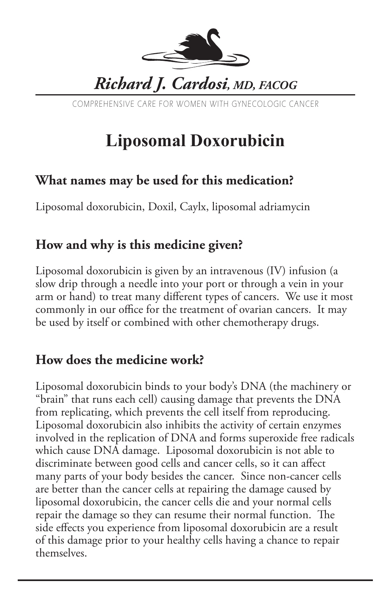

COMPREHENSIVE CARE FOR WOMEN WITH GYNECOLOGIC CANCER

# **Liposomal Doxorubicin**

### **What names may be used for this medication?**

Liposomal doxorubicin, Doxil, Caylx, liposomal adriamycin

## **How and why is this medicine given?**

Liposomal doxorubicin is given by an intravenous (IV) infusion (a slow drip through a needle into your port or through a vein in your arm or hand) to treat many different types of cancers. We use it most commonly in our office for the treatment of ovarian cancers. It may be used by itself or combined with other chemotherapy drugs.

#### **How does the medicine work?**

Liposomal doxorubicin binds to your body's DNA (the machinery or "brain" that runs each cell) causing damage that prevents the DNA from replicating, which prevents the cell itself from reproducing. Liposomal doxorubicin also inhibits the activity of certain enzymes involved in the replication of DNA and forms superoxide free radicals which cause DNA damage. Liposomal doxorubicin is not able to discriminate between good cells and cancer cells, so it can affect many parts of your body besides the cancer. Since non-cancer cells are better than the cancer cells at repairing the damage caused by liposomal doxorubicin, the cancer cells die and your normal cells repair the damage so they can resume their normal function. The side effects you experience from liposomal doxorubicin are a result of this damage prior to your healthy cells having a chance to repair themselves.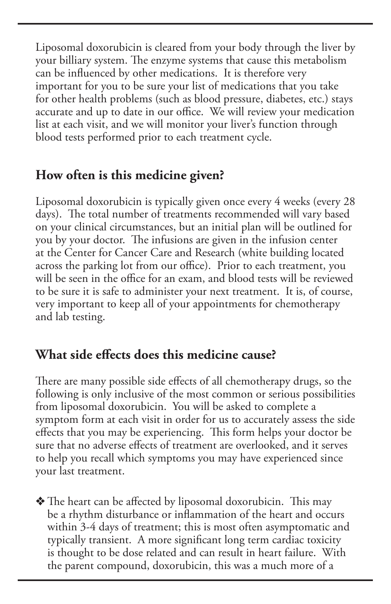Liposomal doxorubicin is cleared from your body through the liver by your billiary system. The enzyme systems that cause this metabolism can be influenced by other medications. It is therefore very important for you to be sure your list of medications that you take for other health problems (such as blood pressure, diabetes, etc.) stays accurate and up to date in our office. We will review your medication list at each visit, and we will monitor your liver's function through blood tests performed prior to each treatment cycle.

## **How often is this medicine given?**

Liposomal doxorubicin is typically given once every 4 weeks (every 28 days). The total number of treatments recommended will vary based on your clinical circumstances, but an initial plan will be outlined for you by your doctor. The infusions are given in the infusion center at the Center for Cancer Care and Research (white building located across the parking lot from our office). Prior to each treatment, you will be seen in the office for an exam, and blood tests will be reviewed to be sure it is safe to administer your next treatment. It is, of course, very important to keep all of your appointments for chemotherapy and lab testing.

#### **What side effects does this medicine cause?**

There are many possible side effects of all chemotherapy drugs, so the following is only inclusive of the most common or serious possibilities from liposomal doxorubicin. You will be asked to complete a symptom form at each visit in order for us to accurately assess the side effects that you may be experiencing. This form helps your doctor be sure that no adverse effects of treatment are overlooked, and it serves to help you recall which symptoms you may have experienced since your last treatment.

 $\triangle$  The heart can be affected by liposomal doxorubicin. This may be a rhythm disturbance or inflammation of the heart and occurs within 3-4 days of treatment; this is most often asymptomatic and typically transient. A more significant long term cardiac toxicity is thought to be dose related and can result in heart failure. With the parent compound, doxorubicin, this was a much more of a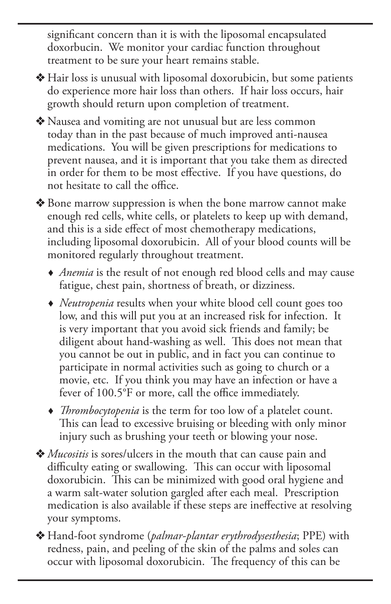significant concern than it is with the liposomal encapsulated doxorbucin. We monitor your cardiac function throughout treatment to be sure your heart remains stable.

- $\triangle$  Hair loss is unusual with liposomal doxorubicin, but some patients do experience more hair loss than others. If hair loss occurs, hair growth should return upon completion of treatment.
- $\triangle$  Nausea and vomiting are not unusual but are less common today than in the past because of much improved anti-nausea medications. You will be given prescriptions for medications to prevent nausea, and it is important that you take them as directed in order for them to be most effective. If you have questions, do not hesitate to call the office.
- ◆ Bone marrow suppression is when the bone marrow cannot make enough red cells, white cells, or platelets to keep up with demand, and this is a side effect of most chemotherapy medications, including liposomal doxorubicin. All of your blood counts will be monitored regularly throughout treatment.
	- *Anemia* is the result of not enough red blood cells and may cause fatigue, chest pain, shortness of breath, or dizziness.
	- *Neutropenia* results when your white blood cell count goes too low, and this will put you at an increased risk for infection. It is very important that you avoid sick friends and family; be diligent about hand-washing as well. This does not mean that you cannot be out in public, and in fact you can continue to participate in normal activities such as going to church or a movie, etc. If you think you may have an infection or have a fever of 100.5°F or more, call the office immediately.
	- *Thrombocytopenia* is the term for too low of a platelet count. This can lead to excessive bruising or bleeding with only minor injury such as brushing your teeth or blowing your nose.
- v *Mucositis* is sores/ulcers in the mouth that can cause pain and difficulty eating or swallowing. This can occur with liposomal doxorubicin. This can be minimized with good oral hygiene and a warm salt-water solution gargled after each meal. Prescription medication is also available if these steps are ineffective at resolving your symptoms.
- v Hand-foot syndrome (*palmar-plantar erythrodysesthesia*; PPE) with redness, pain, and peeling of the skin of the palms and soles can occur with liposomal doxorubicin. The frequency of this can be